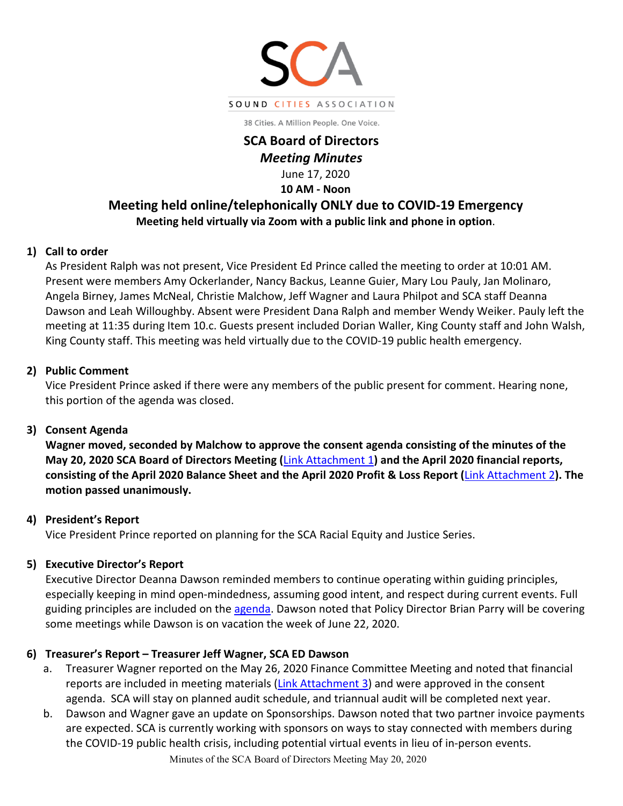

38 Cities. A Million People. One Voice.

## **SCA Board of Directors**  *Meeting Minutes*

June 17, 2020 **10 AM - Noon**

# **Meeting held online/telephonically ONLY due to COVID-19 Emergency Meeting held virtually via Zoom with a public link and phone in option**.

## **1) Call to order**

As President Ralph was not present, Vice President Ed Prince called the meeting to order at 10:01 AM. Present were members Amy Ockerlander, Nancy Backus, Leanne Guier, Mary Lou Pauly, Jan Molinaro, Angela Birney, James McNeal, Christie Malchow, Jeff Wagner and Laura Philpot and SCA staff Deanna Dawson and Leah Willoughby. Absent were President Dana Ralph and member Wendy Weiker. Pauly left the meeting at 11:35 during Item 10.c. Guests present included Dorian Waller, King County staff and John Walsh, King County staff. This meeting was held virtually due to the COVID-19 public health emergency.

## **2) Public Comment**

Vice President Prince asked if there were any members of the public present for comment. Hearing none, this portion of the agenda was closed.

#### **3) Consent Agenda**

**Wagner moved, seconded by Malchow to approve the consent agenda consisting of the minutes of the May 20, 2020 SCA Board of Directors Meeting (**[Link Attachment 1](http://soundcities.org/wp-content/uploads/2020/06/Attach-1.pdf)**) and the April 2020 financial reports, consisting of the April 2020 Balance Sheet and the April 2020 Profit & Loss Report (**[Link Attachment 2](http://soundcities.org/wp-content/uploads/2020/06/BoD-Meeting-June-17-2020-Packet.pdf#page=9)**). The motion passed unanimously.**

## **4) President's Report**

Vice President Prince reported on planning for the SCA Racial Equity and Justice Series.

#### **5) Executive Director's Report**

Executive Director Deanna Dawson reminded members to continue operating within guiding principles, especially keeping in mind open-mindedness, assuming good intent, and respect during current events. Full guiding principles are included on the [agenda.](http://soundcities.org/wp-content/uploads/2020/06/BoD-Meeting-June-17-2020-Packet.pdf#page=2) Dawson noted that Policy Director Brian Parry will be covering some meetings while Dawson is on vacation the week of June 22, 2020.

## **6) Treasurer's Report – Treasurer Jeff Wagner, SCA ED Dawson**

- a. Treasurer Wagner reported on the May 26, 2020 Finance Committee Meeting and noted that financial reports are included in meeting materials [\(Link Attachment 3\)](http://soundcities.org/wp-content/uploads/2020/06/May-26-2020-SCA-Finance-Committee-Packet.pdf) and were approved in the consent agenda. SCA will stay on planned audit schedule, and triannual audit will be completed next year.
- b. Dawson and Wagner gave an update on Sponsorships. Dawson noted that two partner invoice payments are expected. SCA is currently working with sponsors on ways to stay connected with members during the COVID-19 public health crisis, including potential virtual events in lieu of in-person events.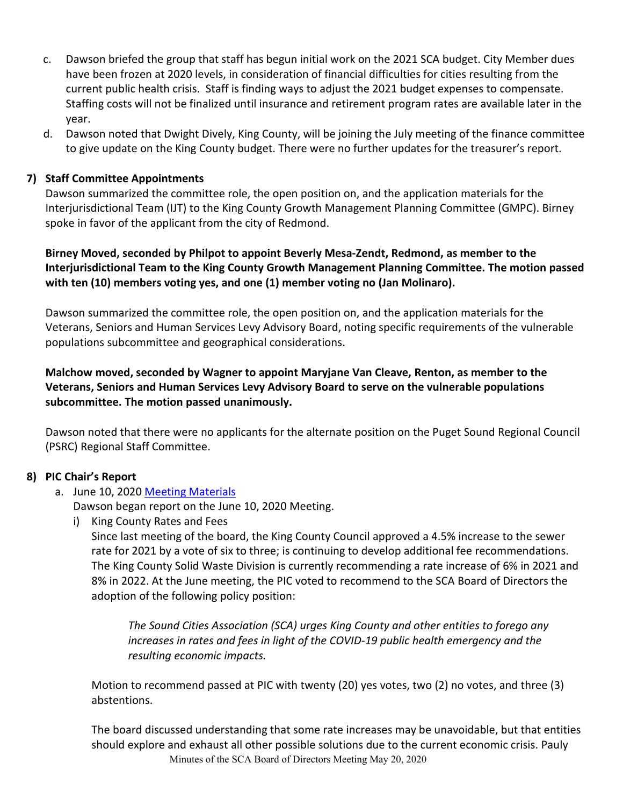- c. Dawson briefed the group that staff has begun initial work on the 2021 SCA budget. City Member dues have been frozen at 2020 levels, in consideration of financial difficulties for cities resulting from the current public health crisis. Staff is finding ways to adjust the 2021 budget expenses to compensate. Staffing costs will not be finalized until insurance and retirement program rates are available later in the year.
- d. Dawson noted that Dwight Dively, King County, will be joining the July meeting of the finance committee to give update on the King County budget. There were no further updates for the treasurer's report.

#### **7) Staff Committee Appointments**

Dawson summarized the committee role, the open position on, and the application materials for the Interjurisdictional Team (IJT) to the King County Growth Management Planning Committee (GMPC). Birney spoke in favor of the applicant from the city of Redmond.

**Birney Moved, seconded by Philpot to appoint Beverly Mesa-Zendt, Redmond, as member to the Interjurisdictional Team to the King County Growth Management Planning Committee. The motion passed with ten (10) members voting yes, and one (1) member voting no (Jan Molinaro).**

Dawson summarized the committee role, the open position on, and the application materials for the Veterans, Seniors and Human Services Levy Advisory Board, noting specific requirements of the vulnerable populations subcommittee and geographical considerations.

## **Malchow moved, seconded by Wagner to appoint Maryjane Van Cleave, Renton, as member to the Veterans, Seniors and Human Services Levy Advisory Board to serve on the vulnerable populations subcommittee. The motion passed unanimously.**

Dawson noted that there were no applicants for the alternate position on the Puget Sound Regional Council (PSRC) Regional Staff Committee.

#### **8) PIC Chair's Report**

#### a. June 10, 2020 Meeting [Materials](http://soundcities.org/wp-content/uploads/2020/05/May-13-2020-PIC-Meeting-Packet.pdf)

Dawson began report on the June 10, 2020 Meeting.

i) King County Rates and Fees

Since last meeting of the board, the King County Council approved a 4.5% increase to the sewer rate for 2021 by a vote of six to three; is continuing to develop additional fee recommendations. The King County Solid Waste Division is currently recommending a rate increase of 6% in 2021 and 8% in 2022. At the June meeting, the PIC voted to recommend to the SCA Board of Directors the adoption of the following policy position:

*The Sound Cities Association (SCA) urges King County and other entities to forego any increases in rates and fees in light of the COVID-19 public health emergency and the resulting economic impacts.*

Motion to recommend passed at PIC with twenty (20) yes votes, two (2) no votes, and three (3) abstentions.

Minutes of the SCA Board of Directors Meeting May 20, 2020 The board discussed understanding that some rate increases may be unavoidable, but that entities should explore and exhaust all other possible solutions due to the current economic crisis. Pauly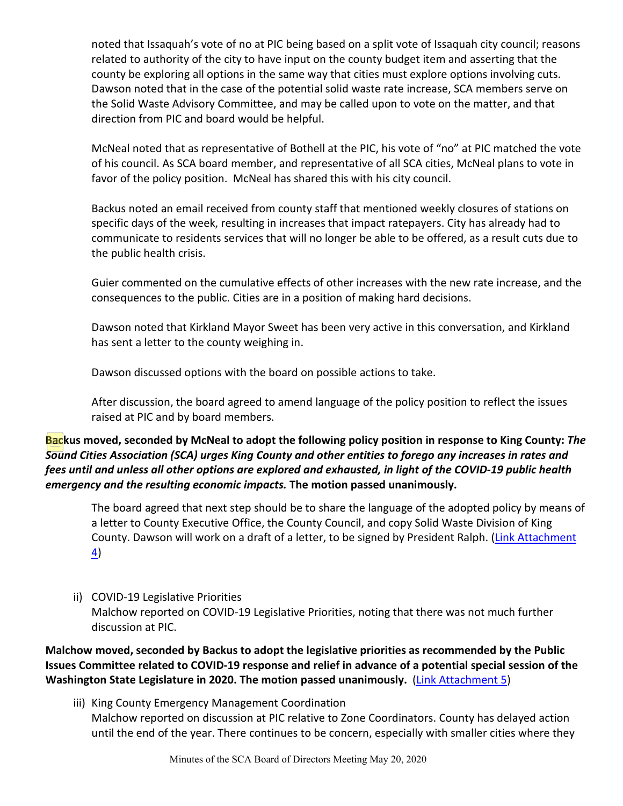noted that Issaquah's vote of no at PIC being based on a split vote of Issaquah city council; reasons related to authority of the city to have input on the county budget item and asserting that the county be exploring all options in the same way that cities must explore options involving cuts. Dawson noted that in the case of the potential solid waste rate increase, SCA members serve on the Solid Waste Advisory Committee, and may be called upon to vote on the matter, and that direction from PIC and board would be helpful.

McNeal noted that as representative of Bothell at the PIC, his vote of "no" at PIC matched the vote of his council. As SCA board member, and representative of all SCA cities, McNeal plans to vote in favor of the policy position. McNeal has shared this with his city council.

Backus noted an email received from county staff that mentioned weekly closures of stations on specific days of the week, resulting in increases that impact ratepayers. City has already had to communicate to residents services that will no longer be able to be offered, as a result cuts due to the public health crisis.

Guier commented on the cumulative effects of other increases with the new rate increase, and the consequences to the public. Cities are in a position of making hard decisions.

Dawson noted that Kirkland Mayor Sweet has been very active in this conversation, and Kirkland has sent a letter to the county weighing in.

Dawson discussed options with the board on possible actions to take.

After discussion, the board agreed to amend language of the policy position to reflect the issues raised at PIC and by board members.

## **Backus moved, seconded by McNeal to adopt the following policy position in response to King County:** *The Sound Cities Association (SCA) urges King County and other entities to forego any increases in rates and fees until and unless all other options are explored and exhausted, in light of the COVID-19 public health emergency and the resulting economic impacts.* **The motion passed unanimously.**

The board agreed that next step should be to share the language of the adopted policy by means of a letter to County Executive Office, the County Council, and copy Solid Waste Division of King County. Dawson will work on a draft of a letter, to be signed by President Ralph. [\(Link Attachment](http://soundcities.org/wp-content/uploads/2020/07/6-18-2020-Letter-to-County-re-Rates-and-Fees-1.pdf)  [4\)](http://soundcities.org/wp-content/uploads/2020/07/6-18-2020-Letter-to-County-re-Rates-and-Fees-1.pdf)

ii) COVID-19 Legislative Priorities Malchow reported on COVID-19 Legislative Priorities, noting that there was not much further discussion at PIC.

**Malchow moved, seconded by Backus to adopt the legislative priorities as recommended by the Public Issues Committee related to COVID-19 response and relief in advance of a potential special session of the Washington State Legislature in 2020. The motion passed unanimously.** [\(Link Attachment 5\)](http://soundcities.org/wp-content/uploads/2020/06/BoD-Meeting-June-17-2020-Packet.pdf#page=19)

iii) King County Emergency Management Coordination Malchow reported on discussion at PIC relative to Zone Coordinators. County has delayed action until the end of the year. There continues to be concern, especially with smaller cities where they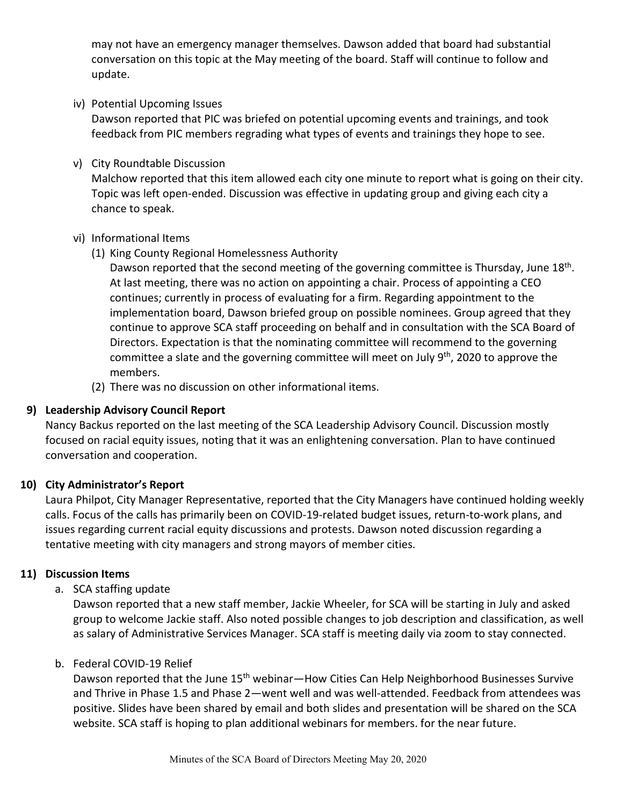may not have an emergency manager themselves. Dawson added that board had substantial conversation on this topic at the May meeting of the board. Staff will continue to follow and update.

iv) Potential Upcoming Issues

Dawson reported that PIC was briefed on potential upcoming events and trainings, and took feedback from PIC members regrading what types of events and trainings they hope to see.

v) City Roundtable Discussion

Malchow reported that this item allowed each city one minute to report what is going on their city. Topic was left open-ended. Discussion was effective in updating group and giving each city a chance to speak.

- vi) Informational Items
	- (1) King County Regional Homelessness Authority

Dawson reported that the second meeting of the governing committee is Thursday, June 18<sup>th</sup>. At last meeting, there was no action on appointing a chair. Process of appointing a CEO continues; currently in process of evaluating for a firm. Regarding appointment to the implementation board, Dawson briefed group on possible nominees. Group agreed that they continue to approve SCA staff proceeding on behalf and in consultation with the SCA Board of Directors. Expectation is that the nominating committee will recommend to the governing committee a slate and the governing committee will meet on July 9<sup>th</sup>, 2020 to approve the members.

(2) There was no discussion on other informational items.

#### **9) Leadership Advisory Council Report**

Nancy Backus reported on the last meeting of the SCA Leadership Advisory Council. Discussion mostly focused on racial equity issues, noting that it was an enlightening conversation. Plan to have continued conversation and cooperation.

## **10) City Administrator's Report**

Laura Philpot, City Manager Representative, reported that the City Managers have continued holding weekly calls. Focus of the calls has primarily been on COVID-19-related budget issues, return-to-work plans, and issues regarding current racial equity discussions and protests. Dawson noted discussion regarding a tentative meeting with city managers and strong mayors of member cities.

#### **11) Discussion Items**

#### a. SCA staffing update

Dawson reported that a new staff member, Jackie Wheeler, for SCA will be starting in July and asked group to welcome Jackie staff. Also noted possible changes to job description and classification, as well as salary of Administrative Services Manager. SCA staff is meeting daily via zoom to stay connected.

#### b. Federal COVID-19 Relief

Dawson reported that the June 15<sup>th</sup> webinar—How Cities Can Help Neighborhood Businesses Survive and Thrive in Phase 1.5 and Phase 2—went well and was well-attended. Feedback from attendees was positive. Slides have been shared by email and both slides and presentation will be shared on the SCA website. SCA staff is hoping to plan additional webinars for members. for the near future.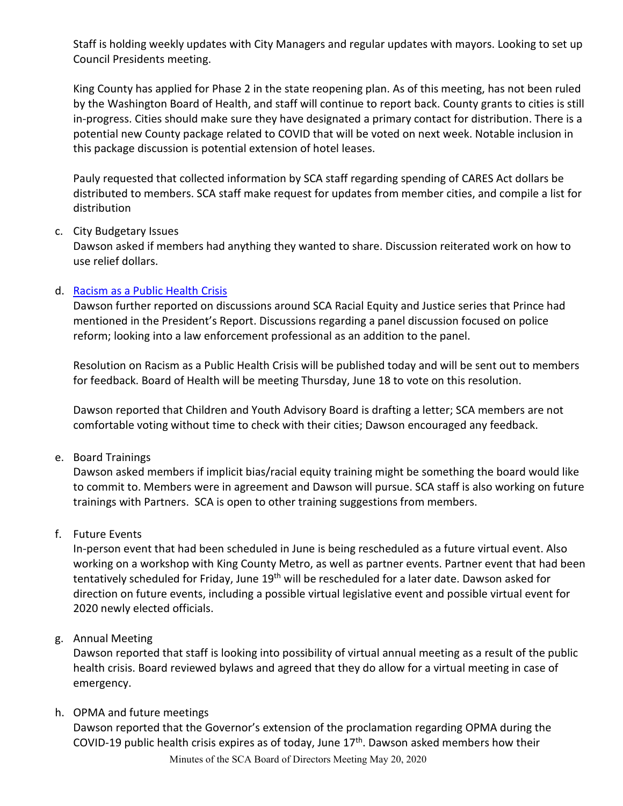Staff is holding weekly updates with City Managers and regular updates with mayors. Looking to set up Council Presidents meeting.

King County has applied for Phase 2 in the state reopening plan. As of this meeting, has not been ruled by the Washington Board of Health, and staff will continue to report back. County grants to cities is still in-progress. Cities should make sure they have designated a primary contact for distribution. There is a potential new County package related to COVID that will be voted on next week. Notable inclusion in this package discussion is potential extension of hotel leases.

Pauly requested that collected information by SCA staff regarding spending of CARES Act dollars be distributed to members. SCA staff make request for updates from member cities, and compile a list for distribution

#### c. City Budgetary Issues

Dawson asked if members had anything they wanted to share. Discussion reiterated work on how to use relief dollars.

#### d. [Racism as a Public Health Crisis](https://publichealthinsider.com/2020/06/11/racism-is-a-public-health-crisis/)

Dawson further reported on discussions around SCA Racial Equity and Justice series that Prince had mentioned in the President's Report. Discussions regarding a panel discussion focused on police reform; looking into a law enforcement professional as an addition to the panel.

Resolution on Racism as a Public Health Crisis will be published today and will be sent out to members for feedback. Board of Health will be meeting Thursday, June 18 to vote on this resolution.

Dawson reported that Children and Youth Advisory Board is drafting a letter; SCA members are not comfortable voting without time to check with their cities; Dawson encouraged any feedback.

e. Board Trainings

Dawson asked members if implicit bias/racial equity training might be something the board would like to commit to. Members were in agreement and Dawson will pursue. SCA staff is also working on future trainings with Partners. SCA is open to other training suggestions from members.

#### f. Future Events

In-person event that had been scheduled in June is being rescheduled as a future virtual event. Also working on a workshop with King County Metro, as well as partner events. Partner event that had been tentatively scheduled for Friday, June 19<sup>th</sup> will be rescheduled for a later date. Dawson asked for direction on future events, including a possible virtual legislative event and possible virtual event for 2020 newly elected officials.

#### g. Annual Meeting

Dawson reported that staff is looking into possibility of virtual annual meeting as a result of the public health crisis. Board reviewed bylaws and agreed that they do allow for a virtual meeting in case of emergency.

#### h. OPMA and future meetings

Dawson reported that the Governor's extension of the proclamation regarding OPMA during the COVID-19 public health crisis expires as of today, June 17th. Dawson asked members how their